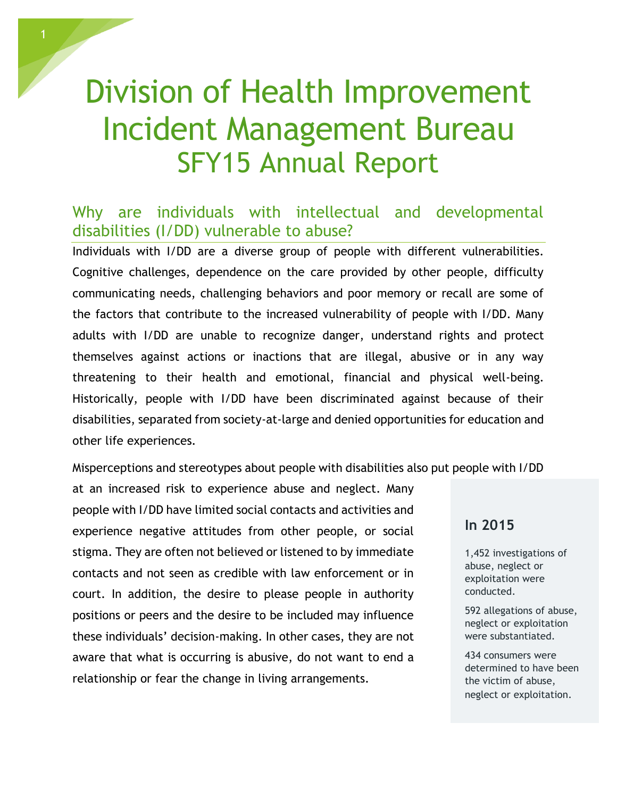# Division of Health Improvement Incident Management Bureau SFY15 Annual Report

# Why are individuals with intellectual and developmental disabilities (I/DD) vulnerable to abuse?

Individuals with I/DD are a diverse group of people with different vulnerabilities. Cognitive challenges, dependence on the care provided by other people, difficulty communicating needs, challenging behaviors and poor memory or recall are some of the factors that contribute to the increased vulnerability of people with I/DD. Many adults with I/DD are unable to recognize danger, understand rights and protect themselves against actions or inactions that are illegal, abusive or in any way threatening to their health and emotional, financial and physical well-being. Historically, people with I/DD have been discriminated against because of their disabilities, separated from society-at-large and denied opportunities for education and other life experiences.

Misperceptions and stereotypes about people with disabilities also put people with I/DD

at an increased risk to experience abuse and neglect. Many people with I/DD have limited social contacts and activities and experience negative attitudes from other people, or social stigma. They are often not believed or listened to by immediate contacts and not seen as credible with law enforcement or in court. In addition, the desire to please people in authority positions or peers and the desire to be included may influence these individuals' decision-making. In other cases, they are not aware that what is occurring is abusive, do not want to end a relationship or fear the change in living arrangements.

### **In 2015**

1,452 investigations of abuse, neglect or exploitation were conducted.

592 allegations of abuse, neglect or exploitation were substantiated.

434 consumers were determined to have been the victim of abuse, neglect or exploitation.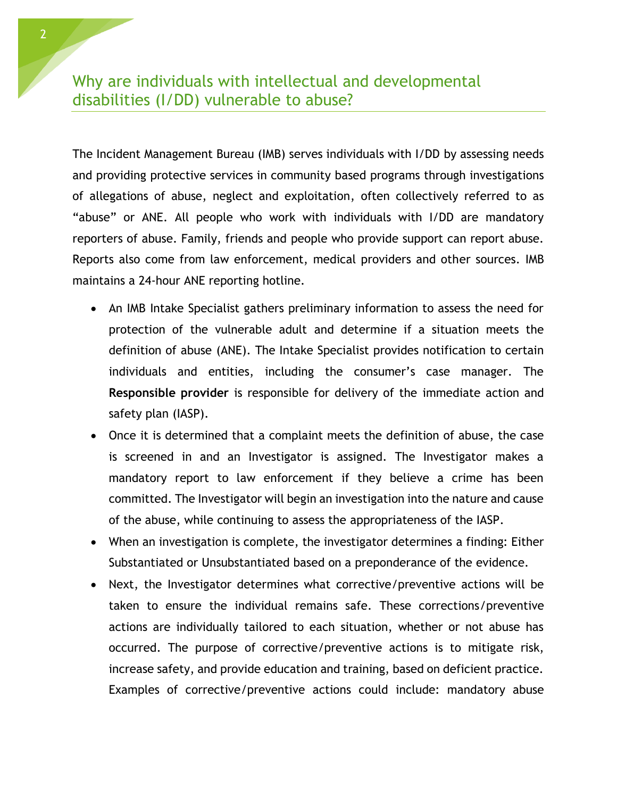# Why are individuals with intellectual and developmental disabilities (I/DD) vulnerable to abuse?

The Incident Management Bureau (IMB) serves individuals with I/DD by assessing needs and providing protective services in community based programs through investigations of allegations of abuse, neglect and exploitation, often collectively referred to as "abuse" or ANE. All people who work with individuals with I/DD are mandatory reporters of abuse. Family, friends and people who provide support can report abuse. Reports also come from law enforcement, medical providers and other sources. IMB maintains a 24-hour ANE reporting hotline.

- An IMB Intake Specialist gathers preliminary information to assess the need for protection of the vulnerable adult and determine if a situation meets the definition of abuse (ANE). The Intake Specialist provides notification to certain individuals and entities, including the consumer's case manager. The **Responsible provider** is responsible for delivery of the immediate action and safety plan (IASP).
- Once it is determined that a complaint meets the definition of abuse, the case is screened in and an Investigator is assigned. The Investigator makes a mandatory report to law enforcement if they believe a crime has been committed. The Investigator will begin an investigation into the nature and cause of the abuse, while continuing to assess the appropriateness of the IASP.
- When an investigation is complete, the investigator determines a finding: Either Substantiated or Unsubstantiated based on a preponderance of the evidence.
- Next, the Investigator determines what corrective/preventive actions will be taken to ensure the individual remains safe. These corrections/preventive actions are individually tailored to each situation, whether or not abuse has occurred. The purpose of corrective/preventive actions is to mitigate risk, increase safety, and provide education and training, based on deficient practice. Examples of corrective/preventive actions could include: mandatory abuse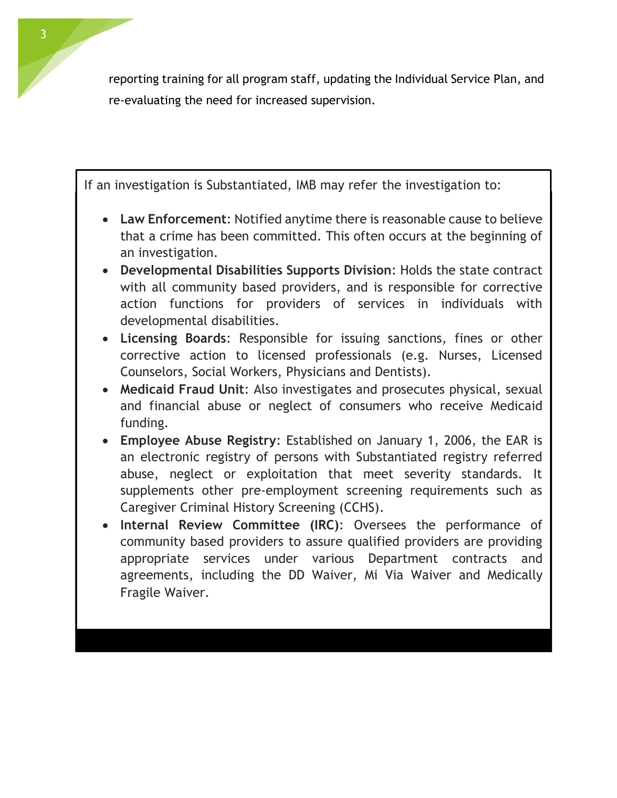reporting training for all program staff, updating the Individual Service Plan, and re-evaluating the need for increased supervision.

If an investigation is Substantiated, IMB may refer the investigation to:

- **Law Enforcement**: Notified anytime there is reasonable cause to believe that a crime has been committed. This often occurs at the beginning of an investigation.
- **Developmental Disabilities Supports Division**: Holds the state contract with all community based providers, and is responsible for corrective action functions for providers of services in individuals with developmental disabilities.
- **Licensing Boards**: Responsible for issuing sanctions, fines or other corrective action to licensed professionals (e.g. Nurses, Licensed Counselors, Social Workers, Physicians and Dentists).
- **Medicaid Fraud Unit**: Also investigates and prosecutes physical, sexual and financial abuse or neglect of consumers who receive Medicaid funding.
- **Employee Abuse Registry**: Established on January 1, 2006, the EAR is an electronic registry of persons with Substantiated registry referred abuse, neglect or exploitation that meet severity standards. It supplements other pre-employment screening requirements such as Caregiver Criminal History Screening (CCHS).
- **Internal Review Committee (IRC)**: Oversees the performance of community based providers to assure qualified providers are providing appropriate services under various Department contracts and agreements, including the DD Waiver, Mi Via Waiver and Medically Fragile Waiver.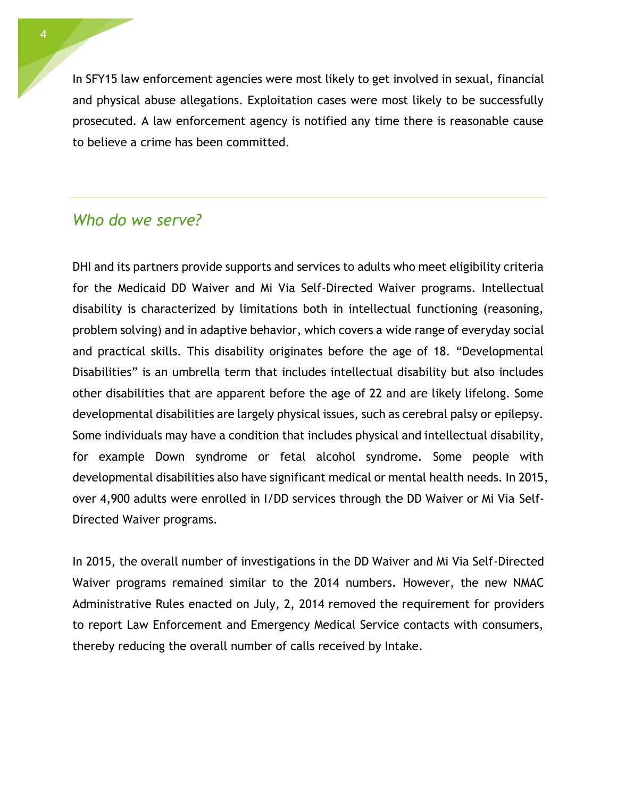In SFY15 law enforcement agencies were most likely to get involved in sexual, financial and physical abuse allegations. Exploitation cases were most likely to be successfully prosecuted. A law enforcement agency is notified any time there is reasonable cause to believe a crime has been committed.

## *Who do we serve?*

DHI and its partners provide supports and services to adults who meet eligibility criteria for the Medicaid DD Waiver and Mi Via Self-Directed Waiver programs. Intellectual disability is characterized by limitations both in intellectual functioning (reasoning, problem solving) and in adaptive behavior, which covers a wide range of everyday social and practical skills. This disability originates before the age of 18. "Developmental Disabilities" is an umbrella term that includes intellectual disability but also includes other disabilities that are apparent before the age of 22 and are likely lifelong. Some developmental disabilities are largely physical issues, such as cerebral palsy or epilepsy. Some individuals may have a condition that includes physical and intellectual disability, for example Down syndrome or fetal alcohol syndrome. Some people with developmental disabilities also have significant medical or mental health needs. In 2015, over 4,900 adults were enrolled in I/DD services through the DD Waiver or Mi Via Self-Directed Waiver programs.

In 2015, the overall number of investigations in the DD Waiver and Mi Via Self-Directed Waiver programs remained similar to the 2014 numbers. However, the new NMAC Administrative Rules enacted on July, 2, 2014 removed the requirement for providers to report Law Enforcement and Emergency Medical Service contacts with consumers, thereby reducing the overall number of calls received by Intake.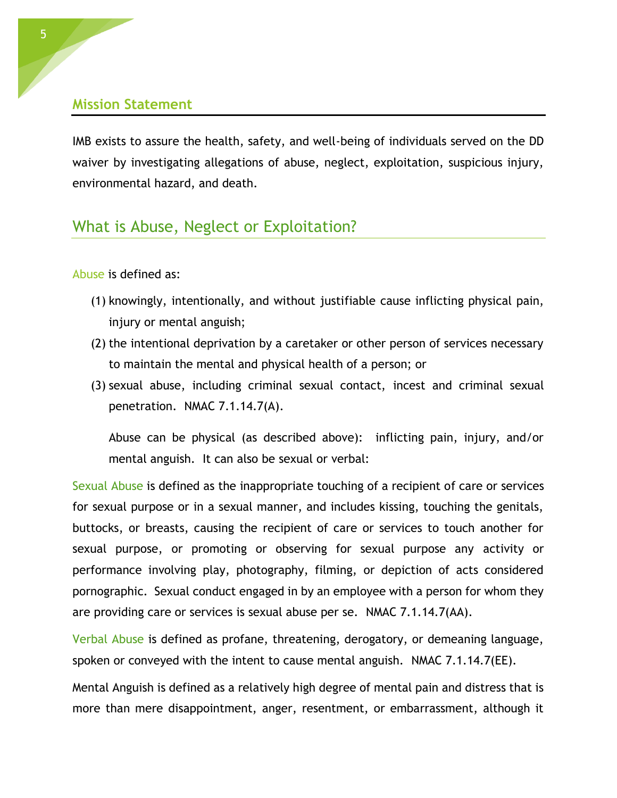#### **Mission Statement**

IMB exists to assure the health, safety, and well-being of individuals served on the DD waiver by investigating allegations of abuse, neglect, exploitation, suspicious injury, environmental hazard, and death.

# What is Abuse, Neglect or Exploitation?

Abuse is defined as:

- (1) knowingly, intentionally, and without justifiable cause inflicting physical pain, injury or mental anguish;
- (2) the intentional deprivation by a caretaker or other person of services necessary to maintain the mental and physical health of a person; or
- (3) sexual abuse, including criminal sexual contact, incest and criminal sexual penetration. NMAC 7.1.14.7(A).

Abuse can be physical (as described above): inflicting pain, injury, and/or mental anguish. It can also be sexual or verbal:

Sexual Abuse is defined as the inappropriate touching of a recipient of care or services for sexual purpose or in a sexual manner, and includes kissing, touching the genitals, buttocks, or breasts, causing the recipient of care or services to touch another for sexual purpose, or promoting or observing for sexual purpose any activity or performance involving play, photography, filming, or depiction of acts considered pornographic. Sexual conduct engaged in by an employee with a person for whom they are providing care or services is sexual abuse per se. NMAC 7.1.14.7(AA).

Verbal Abuse is defined as profane, threatening, derogatory, or demeaning language, spoken or conveyed with the intent to cause mental anguish. NMAC 7.1.14.7(EE).

Mental Anguish is defined as a relatively high degree of mental pain and distress that is more than mere disappointment, anger, resentment, or embarrassment, although it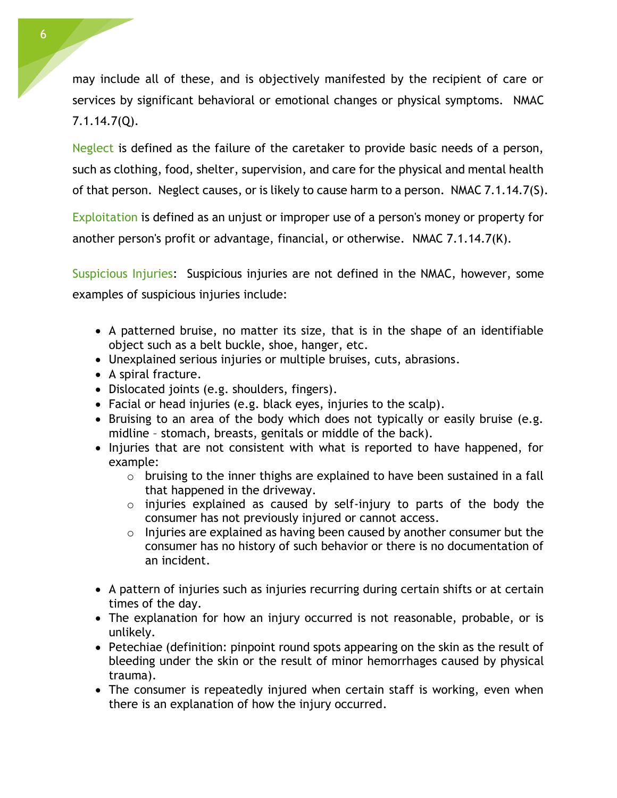may include all of these, and is objectively manifested by the recipient of care or services by significant behavioral or emotional changes or physical symptoms. NMAC 7.1.14.7(Q).

Neglect is defined as the failure of the caretaker to provide basic needs of a person, such as clothing, food, shelter, supervision, and care for the physical and mental health of that person. Neglect causes, or is likely to cause harm to a person. NMAC 7.1.14.7(S).

Exploitation is defined as an unjust or improper use of a person's money or property for another person's profit or advantage, financial, or otherwise. NMAC 7.1.14.7(K).

Suspicious Injuries: Suspicious injuries are not defined in the NMAC, however, some examples of suspicious injuries include:

- A patterned bruise, no matter its size, that is in the shape of an identifiable object such as a belt buckle, shoe, hanger, etc.
- Unexplained serious injuries or multiple bruises, cuts, abrasions.
- A spiral fracture.
- Dislocated joints (e.g. shoulders, fingers).
- Facial or head injuries (e.g. black eyes, injuries to the scalp).
- Bruising to an area of the body which does not typically or easily bruise (e.g. midline – stomach, breasts, genitals or middle of the back).
- Injuries that are not consistent with what is reported to have happened, for example:
	- $\circ$  bruising to the inner thighs are explained to have been sustained in a fall that happened in the driveway.
	- o injuries explained as caused by self-injury to parts of the body the consumer has not previously injured or cannot access.
	- o Injuries are explained as having been caused by another consumer but the consumer has no history of such behavior or there is no documentation of an incident.
- A pattern of injuries such as injuries recurring during certain shifts or at certain times of the day.
- The explanation for how an injury occurred is not reasonable, probable, or is unlikely.
- Petechiae (definition: pinpoint round spots appearing on the skin as the result of bleeding under the skin or the result of minor hemorrhages caused by physical trauma).
- The consumer is repeatedly injured when certain staff is working, even when there is an explanation of how the injury occurred.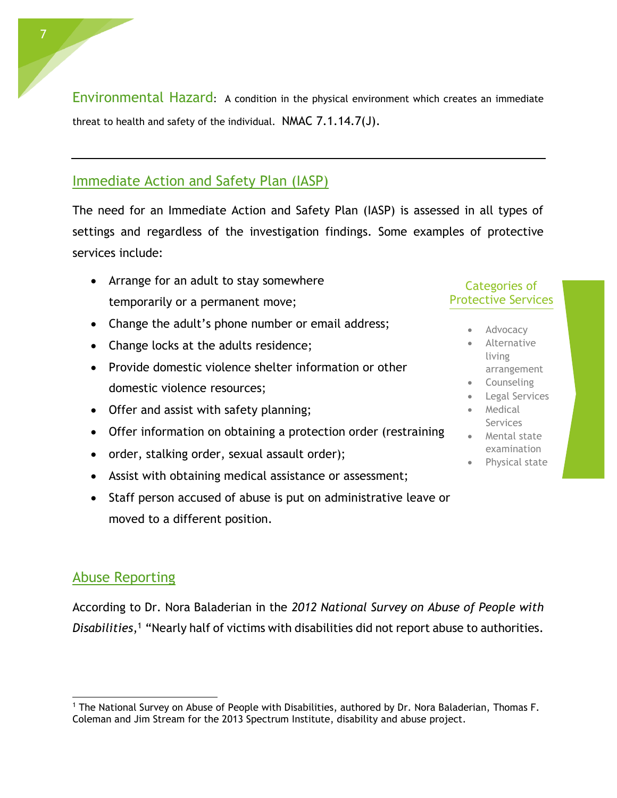Environmental Hazard: A condition in the physical environment which creates an immediate threat to health and safety of the individual. NMAC 7.1.14.7(J).

## Immediate Action and Safety Plan (IASP)

The need for an Immediate Action and Safety Plan (IASP) is assessed in all types of settings and regardless of the investigation findings. Some examples of protective services include:

- Arrange for an adult to stay somewhere temporarily or a permanent move;
- Change the adult's phone number or email address;
- Change locks at the adults residence;
- Provide domestic violence shelter information or other domestic violence resources;
- Offer and assist with safety planning;
- Offer information on obtaining a protection order (restraining
- order, stalking order, sexual assault order);
- Assist with obtaining medical assistance or assessment;
- Staff person accused of abuse is put on administrative leave or moved to a different position.

### Categories of Protective Services

- Advocacy
- Alternative living arrangement
- **Counseling**
- Legal Services Medical
- Services • Mental state
- examination
- Physical state

## Abuse Reporting

 $\overline{a}$ 

According to Dr. Nora Baladerian in the *2012 National Survey on Abuse of People with Disabilities*, <sup>1</sup> "Nearly half of victims with disabilities did not report abuse to authorities.

<sup>&</sup>lt;sup>1</sup> The National Survey on Abuse of People with Disabilities, authored by Dr. Nora Baladerian, Thomas F. Coleman and Jim Stream for the 2013 Spectrum Institute, disability and abuse project.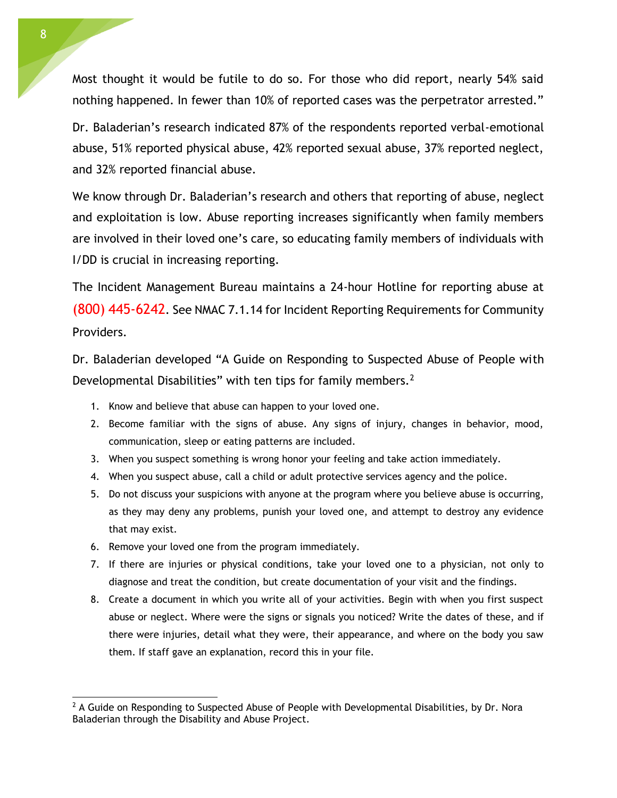Most thought it would be futile to do so. For those who did report, nearly 54% said nothing happened. In fewer than 10% of reported cases was the perpetrator arrested."

Dr. Baladerian's research indicated 87% of the respondents reported verbal-emotional abuse, 51% reported physical abuse, 42% reported sexual abuse, 37% reported neglect, and 32% reported financial abuse.

We know through Dr. Baladerian's research and others that reporting of abuse, neglect and exploitation is low. Abuse reporting increases significantly when family members are involved in their loved one's care, so educating family members of individuals with I/DD is crucial in increasing reporting.

The Incident Management Bureau maintains a 24-hour Hotline for reporting abuse at (800) 445-6242. See NMAC 7.1.14 for Incident Reporting Requirements for Community Providers.

Dr. Baladerian developed "A Guide on Responding to Suspected Abuse of People with Developmental Disabilities" with ten tips for family members.<sup>2</sup>

- 1. Know and believe that abuse can happen to your loved one.
- 2. Become familiar with the signs of abuse. Any signs of injury, changes in behavior, mood, communication, sleep or eating patterns are included.
- 3. When you suspect something is wrong honor your feeling and take action immediately.
- 4. When you suspect abuse, call a child or adult protective services agency and the police.
- 5. Do not discuss your suspicions with anyone at the program where you believe abuse is occurring, as they may deny any problems, punish your loved one, and attempt to destroy any evidence that may exist.
- 6. Remove your loved one from the program immediately.
- 7. If there are injuries or physical conditions, take your loved one to a physician, not only to diagnose and treat the condition, but create documentation of your visit and the findings.
- 8. Create a document in which you write all of your activities. Begin with when you first suspect abuse or neglect. Where were the signs or signals you noticed? Write the dates of these, and if there were injuries, detail what they were, their appearance, and where on the body you saw them. If staff gave an explanation, record this in your file.

 $\overline{a}$ 

 $<sup>2</sup>$  A Guide on Responding to Suspected Abuse of People with Developmental Disabilities, by Dr. Nora</sup> Baladerian through the Disability and Abuse Project.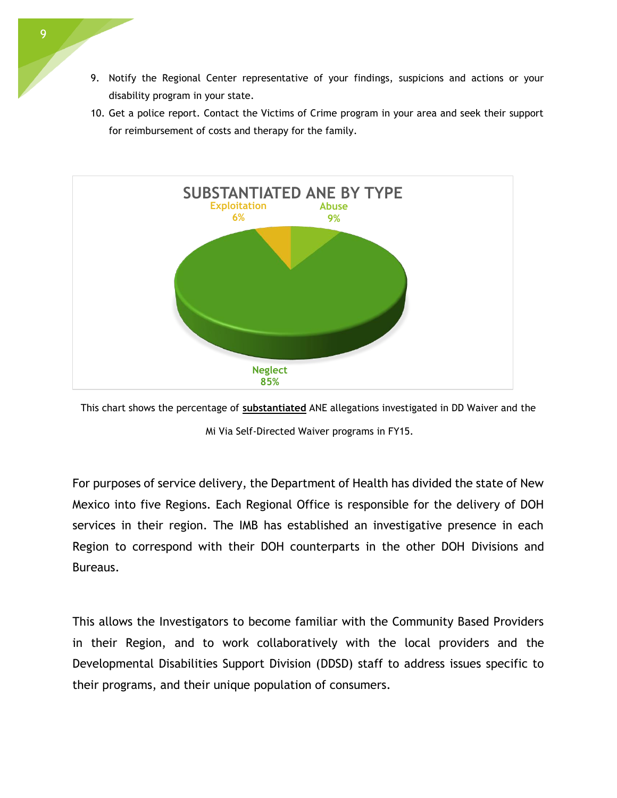- 9. Notify the Regional Center representative of your findings, suspicions and actions or your disability program in your state.
- 10. Get a police report. Contact the Victims of Crime program in your area and seek their support for reimbursement of costs and therapy for the family.





Mi Via Self-Directed Waiver programs in FY15.

For purposes of service delivery, the Department of Health has divided the state of New Mexico into five Regions. Each Regional Office is responsible for the delivery of DOH services in their region. The IMB has established an investigative presence in each Region to correspond with their DOH counterparts in the other DOH Divisions and Bureaus.

This allows the Investigators to become familiar with the Community Based Providers in their Region, and to work collaboratively with the local providers and the Developmental Disabilities Support Division (DDSD) staff to address issues specific to their programs, and their unique population of consumers.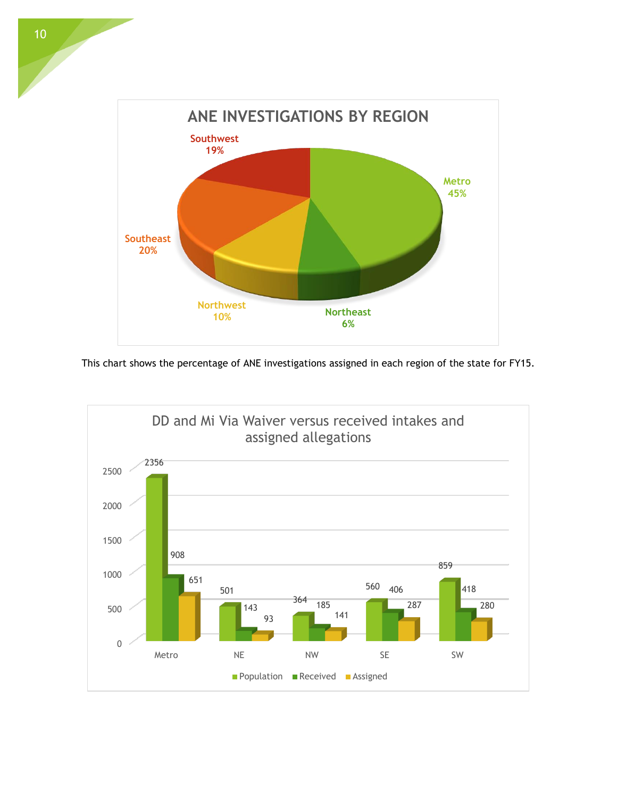

This chart shows the percentage of ANE investigations assigned in each region of the state for FY15.

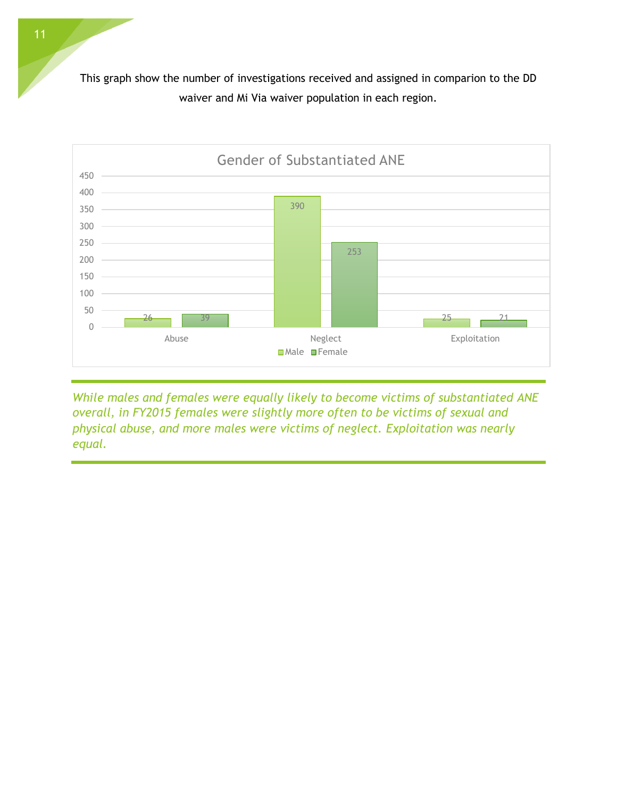This graph show the number of investigations received and assigned in comparion to the DD waiver and Mi Via waiver population in each region.



*While males and females were equally likely to become victims of substantiated ANE overall, in FY2015 females were slightly more often to be victims of sexual and physical abuse, and more males were victims of neglect. Exploitation was nearly equal.*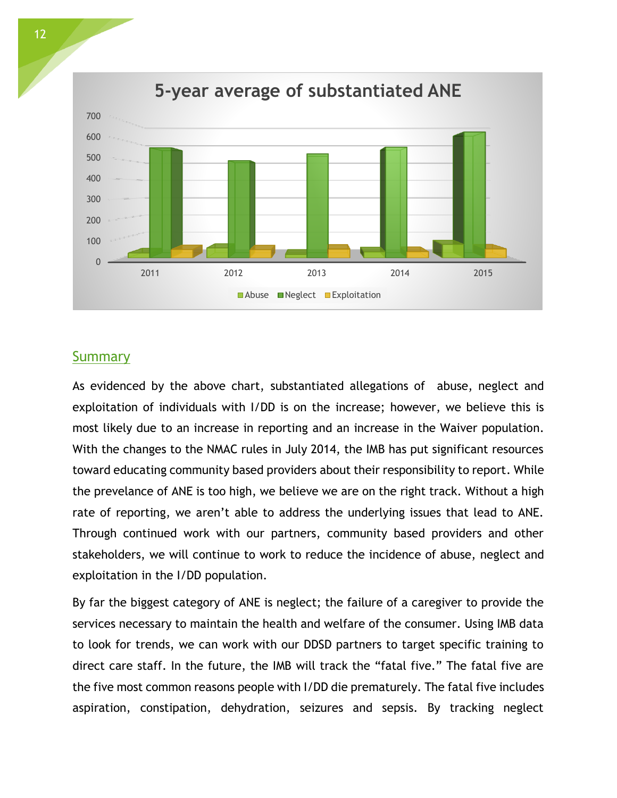

#### **Summary**

As evidenced by the above chart, substantiated allegations of abuse, neglect and exploitation of individuals with I/DD is on the increase; however, we believe this is most likely due to an increase in reporting and an increase in the Waiver population. With the changes to the NMAC rules in July 2014, the IMB has put significant resources toward educating community based providers about their responsibility to report. While the prevelance of ANE is too high, we believe we are on the right track. Without a high rate of reporting, we aren't able to address the underlying issues that lead to ANE. Through continued work with our partners, community based providers and other stakeholders, we will continue to work to reduce the incidence of abuse, neglect and exploitation in the I/DD population.

By far the biggest category of ANE is neglect; the failure of a caregiver to provide the services necessary to maintain the health and welfare of the consumer. Using IMB data to look for trends, we can work with our DDSD partners to target specific training to direct care staff. In the future, the IMB will track the "fatal five." The fatal five are the five most common reasons people with I/DD die prematurely. The fatal five includes aspiration, constipation, dehydration, seizures and sepsis. By tracking neglect